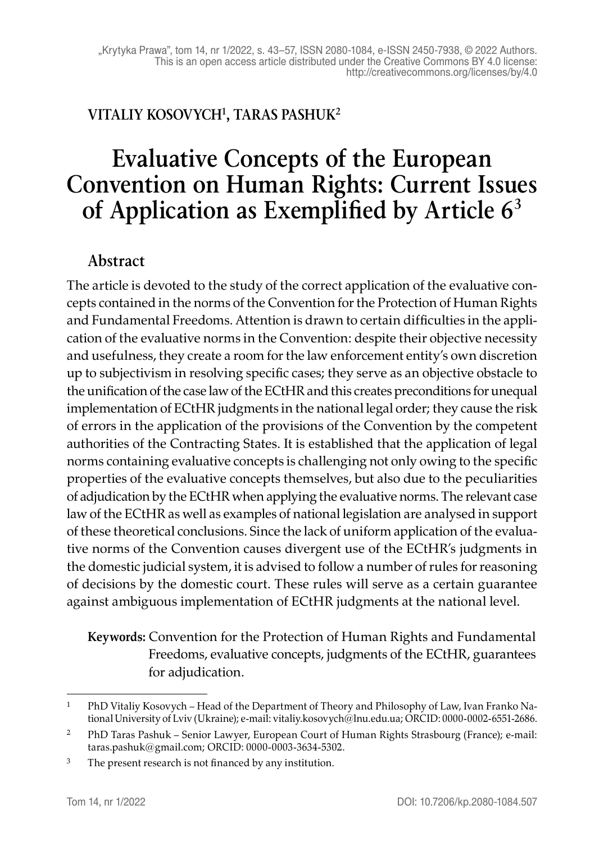## **VITALIY KOSOVYCH1, TARAS PASHUK2**

# **Evaluative Concepts of the European Convention on Human Rights: Current Issues of Application as Exemplified by Article 6<sup>3</sup>**

### **Abstract**

The article is devoted to the study of the correct application of the evaluative concepts contained in the norms of the Convention for the Protection of Human Rights and Fundamental Freedoms. Attention is drawn to certain difficulties in the application of the evaluative norms in the Convention: despite their objective necessity and usefulness, they create a room for the law enforcement entity's own discretion up to subjectivism in resolving specific cases; they serve as an objective obstacle to the unification of the case law of the ECtHR and this creates preconditions for unequal implementation of ECtHR judgments in the national legal order; they cause the risk of errors in the application of the provisions of the Convention by the competent authorities of the Contracting States. It is established that the application of legal norms containing evaluative concepts is challenging not only owing to the specific properties of the evaluative concepts themselves, but also due to the peculiarities of adjudication by the ECtHR when applying the evaluative norms. The relevant case law of the ECtHR as well as examples of national legislation are analysed in support of these theoretical conclusions. Since the lack of uniform application of the evaluative norms of the Convention causes divergent use of the ECtHR's judgments in the domestic judicial system, it is advised to follow a number of rules for reasoning of decisions by the domestic court. These rules will serve as a certain guarantee against ambiguous implementation of ECtHR judgments at the national level.

**Keywords:** Convention for the Protection of Human Rights and Fundamental Freedoms, evaluative concepts, judgments of the ECtHR, guarantees for adjudication.

<sup>1</sup> PhD Vitaliy Kosovych – Head of the Department of Theory and Philosophy of Law, Ivan Franko National University of Lviv (Ukraine); e-mail: vitaliy.kosovych@lnu.edu.ua; ORCID: 0000-0002-6551-2686.

<sup>2</sup> PhD Taras Pashuk – Senior Lawyer, European Court of Human Rights Strasbourg (France); e-mail: taras.pashuk@gmail.com; ORCID: 0000-0003-3634-5302.

<sup>&</sup>lt;sup>3</sup> The present research is not financed by any institution.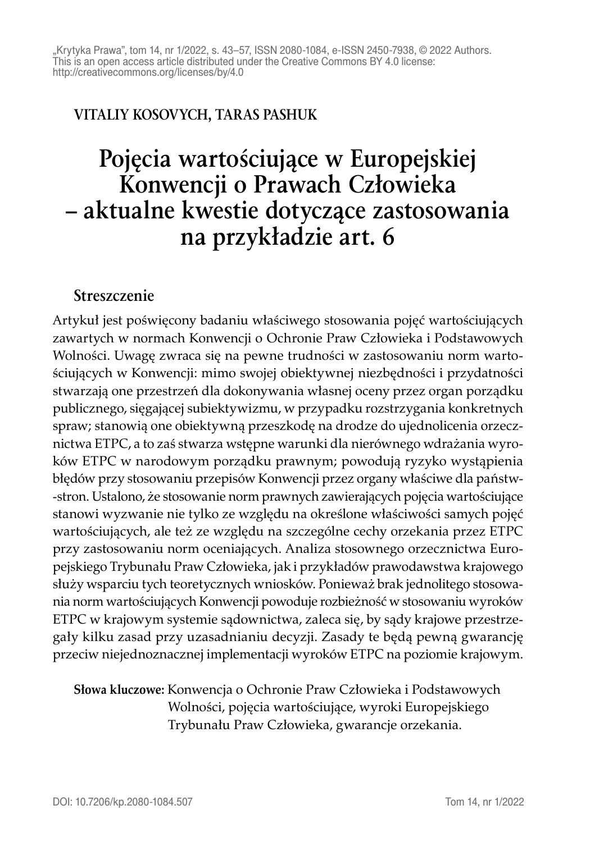## **VITALIY KOSOVYCH, TARAS PASHUK**

# **Pojęcia wartościujące w Europejskiej Konwencji o Prawach Człowieka – aktualne kwestie dotyczące zastosowania na przykładzie art. 6**

#### **Streszczenie**

Artykuł jest poświęcony badaniu właściwego stosowania pojęć wartościujących zawartych w normach Konwencji o Ochronie Praw Człowieka i Podstawowych Wolności. Uwagę zwraca się na pewne trudności w zastosowaniu norm wartościujących w Konwencji: mimo swojej obiektywnej niezbędności i przydatności stwarzają one przestrzeń dla dokonywania własnej oceny przez organ porządku publicznego, sięgającej subiektywizmu, w przypadku rozstrzygania konkretnych spraw; stanowią one obiektywną przeszkodę na drodze do ujednolicenia orzecznictwa ETPC, a to zaś stwarza wstępne warunki dla nierównego wdrażania wyroków ETPC w narodowym porządku prawnym; powodują ryzyko wystąpienia błędów przy stosowaniu przepisów Konwencji przez organy właściwe dla państw -stron. Ustalono, że stosowanie norm prawnych zawierających pojęcia wartościujące stanowi wyzwanie nie tylko ze względu na określone właściwości samych pojęć wartościujących, ale też ze względu na szczególne cechy orzekania przez ETPC przy zastosowaniu norm oceniających. Analiza stosownego orzecznictwa Europejskiego Trybunału Praw Człowieka, jak i przykładów prawodawstwa krajowego służy wsparciu tych teoretycznych wniosków. Ponieważ brak jednolitego stosowania norm wartościujących Konwencji powoduje rozbieżność w stosowaniu wyroków ETPC w krajowym systemie sądownictwa, zaleca się, by sądy krajowe przestrzegały kilku zasad przy uzasadnianiu decyzji. Zasady te będą pewną gwarancję przeciw niejednoznacznej implementacji wyroków ETPC na poziomie krajowym.

**Słowa kluczowe:** Konwencja o Ochronie Praw Człowieka i Podstawowych Wolności, pojęcia wartościujące, wyroki Europejskiego Trybunału Praw Człowieka, gwarancje orzekania.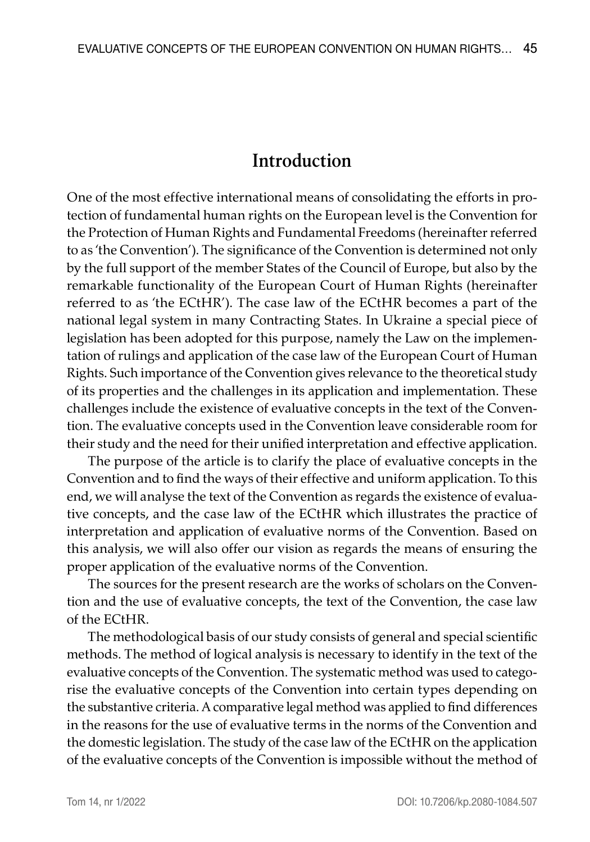## **Introduction**

One of the most effective international means of consolidating the efforts in protection of fundamental human rights on the European level is the Convention for the Protection of Human Rights and Fundamental Freedoms (hereinafter referred to as 'the Convention'). The significance of the Convention is determined not only by the full support of the member States of the Council of Europe, but also by the remarkable functionality of the European Court of Human Rights (hereinafter referred to as 'the ECtHR'). The case law of the ECtHR becomes a part of the national legal system in many Contracting States. In Ukraine a special piece of legislation has been adopted for this purpose, namely the Law on the implementation of rulings and application of the case law of the European Court of Human Rights. Such importance of the Convention gives relevance to the theoretical study of its properties and the challenges in its application and implementation. These challenges include the existence of evaluative concepts in the text of the Convention. The evaluative concepts used in the Convention leave considerable room for their study and the need for their unified interpretation and effective application.

The purpose of the article is to clarify the place of evaluative concepts in the Convention and to find the ways of their effective and uniform application. To this end, we will analyse the text of the Convention as regards the existence of evaluative concepts, and the case law of the ECtHR which illustrates the practice of interpretation and application of evaluative norms of the Convention. Based on this analysis, we will also offer our vision as regards the means of ensuring the proper application of the evaluative norms of the Convention.

The sources for the present research are the works of scholars on the Convention and the use of evaluative concepts, the text of the Convention, the case law of the ECtHR.

The methodological basis of our study consists of general and special scientific methods. The method of logical analysis is necessary to identify in the text of the evaluative concepts of the Convention. The systematic method was used to categorise the evaluative concepts of the Convention into certain types depending on the substantive criteria. A comparative legal method was applied to find differences in the reasons for the use of evaluative terms in the norms of the Convention and the domestic legislation. The study of the case law of the ECtHR on the application of the evaluative concepts of the Convention is impossible without the method of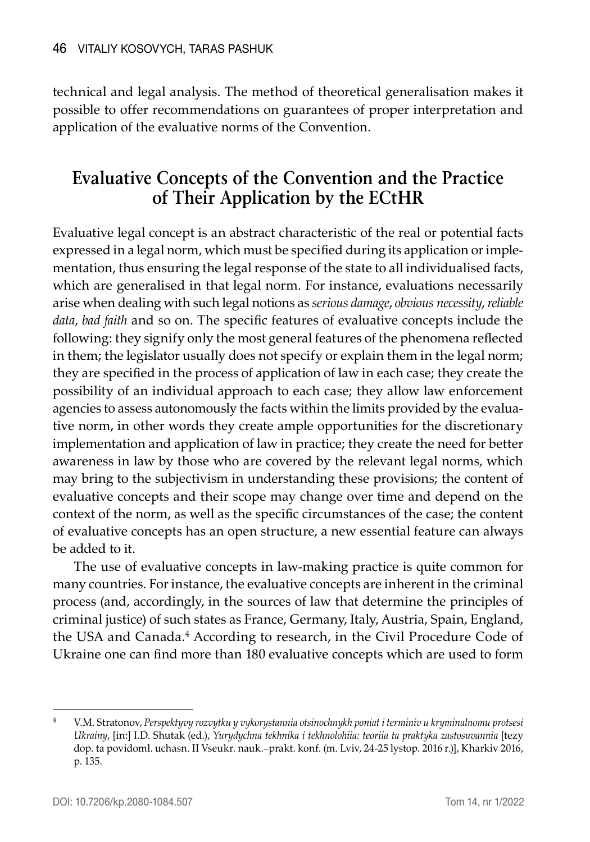technical and legal analysis. The method of theoretical generalisation makes it possible to offer recommendations on guarantees of proper interpretation and application of the evaluative norms of the Convention.

# **Evaluative Concepts of the Convention and the Practice of Their Application by the ECtHR**

Evaluative legal concept is an abstract characteristic of the real or potential facts expressed in a legal norm, which must be specified during its application or implementation, thus ensuring the legal response of the state to all individualised facts, which are generalised in that legal norm. For instance, evaluations necessarily arise when dealing with such legal notions as *serious damage*, *obvious necessity*, *reliable data*, *bad faith* and so on. The specific features of evaluative concepts include the following: they signify only the most general features of the phenomena reflected in them; the legislator usually does not specify or explain them in the legal norm; they are specified in the process of application of law in each case; they create the possibility of an individual approach to each case; they allow law enforcement agencies to assess autonomously the facts within the limits provided by the evaluative norm, in other words they create ample opportunities for the discretionary implementation and application of law in practice; they create the need for better awareness in law by those who are covered by the relevant legal norms, which may bring to the subjectivism in understanding these provisions; the content of evaluative concepts and their scope may change over time and depend on the context of the norm, as well as the specific circumstances of the case; the content of evaluative concepts has an open structure, a new essential feature can always be added to it.

The use of evaluative concepts in law-making practice is quite common for many countries. For instance, the evaluative concepts are inherent in the criminal process (and, accordingly, in the sources of law that determine the principles of criminal justice) of such states as France, Germany, Italy, Austria, Spain, England, the USA and Canada.<sup>4</sup> According to research, in the Civil Procedure Code of Ukraine one can find more than 180 evaluative concepts which are used to form

<sup>4</sup> V.M. Stratonov, *Perspektyvy rozvytku y vykorystannia otsinochnykh poniat i terminiv u kryminalnomu protsesi Ukrainy*, [in:] I.D. Shutak (ed.), *Yurydychna tekhnika i tekhnolohiia: teoriia ta praktyka zastosuvannia* [tezy dop. ta povidoml. uchasn. II Vseukr. nauk.–prakt. konf. (m. Lviv, 24-25 lystop. 2016 r.)], Kharkiv 2016, p. 135.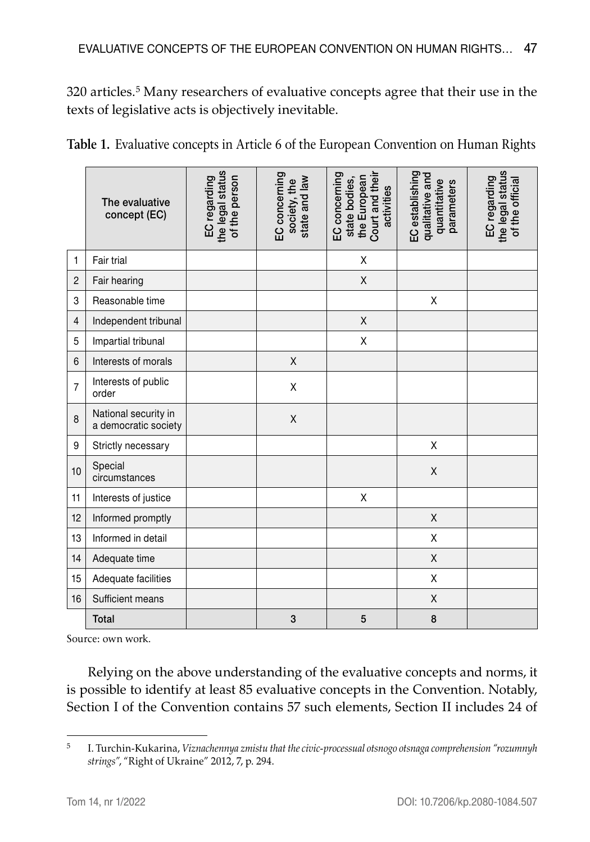320 articles.5 Many researchers of evaluative concepts agree that their use in the texts of legislative acts is objectively inevitable.

| Table 1. Evaluative concepts in Article 6 of the European Convention on Human Rights |  |  |
|--------------------------------------------------------------------------------------|--|--|
|--------------------------------------------------------------------------------------|--|--|

|                | The evaluative<br>concept (EC)               | the legal status<br>of the person<br>EC regarding | EC concerning<br>state and law<br>society, the | Court and their<br>EC concerning<br>the European<br>state bodies,<br>activities | EC establishing<br>qualitative and<br>quantitative<br>parameters | the legal status<br>EC regarding<br>of the official |
|----------------|----------------------------------------------|---------------------------------------------------|------------------------------------------------|---------------------------------------------------------------------------------|------------------------------------------------------------------|-----------------------------------------------------|
| $\mathbf{1}$   | Fair trial                                   |                                                   |                                                | X                                                                               |                                                                  |                                                     |
| $\overline{c}$ | Fair hearing                                 |                                                   |                                                | X                                                                               |                                                                  |                                                     |
| 3              | Reasonable time                              |                                                   |                                                |                                                                                 | X                                                                |                                                     |
| $\overline{4}$ | Independent tribunal                         |                                                   |                                                | X                                                                               |                                                                  |                                                     |
| 5              | Impartial tribunal                           |                                                   |                                                | X                                                                               |                                                                  |                                                     |
| 6              | Interests of morals                          |                                                   | X                                              |                                                                                 |                                                                  |                                                     |
| $\overline{7}$ | Interests of public<br>order                 |                                                   | Χ                                              |                                                                                 |                                                                  |                                                     |
| 8              | National security in<br>a democratic society |                                                   | Χ                                              |                                                                                 |                                                                  |                                                     |
| 9              | Strictly necessary                           |                                                   |                                                |                                                                                 | Χ                                                                |                                                     |
| 10             | Special<br>circumstances                     |                                                   |                                                |                                                                                 | Χ                                                                |                                                     |
| 11             | Interests of justice                         |                                                   |                                                | X                                                                               |                                                                  |                                                     |
| 12             | Informed promptly                            |                                                   |                                                |                                                                                 | Χ                                                                |                                                     |
| 13             | Informed in detail                           |                                                   |                                                |                                                                                 | X                                                                |                                                     |
| 14             | Adequate time                                |                                                   |                                                |                                                                                 | X                                                                |                                                     |
| 15             | Adequate facilities                          |                                                   |                                                |                                                                                 | X                                                                |                                                     |
| 16             | Sufficient means                             |                                                   |                                                |                                                                                 | Χ                                                                |                                                     |
|                | <b>Total</b>                                 |                                                   | 3                                              | 5                                                                               | 8                                                                |                                                     |

Source: own work.

Relying on the above understanding of the evaluative concepts and norms, it is possible to identify at least 85 evaluative concepts in the Convention. Notably, Section I of the Convention contains 57 such elements, Section II includes 24 of

<sup>5</sup> I. Turchin-Kukarina, *Viznachennya zmistu that the civic-processual otsnogo otsnaga comprehension "rozumnyh strings"*, "Right of Ukraine" 2012, 7, p. 294.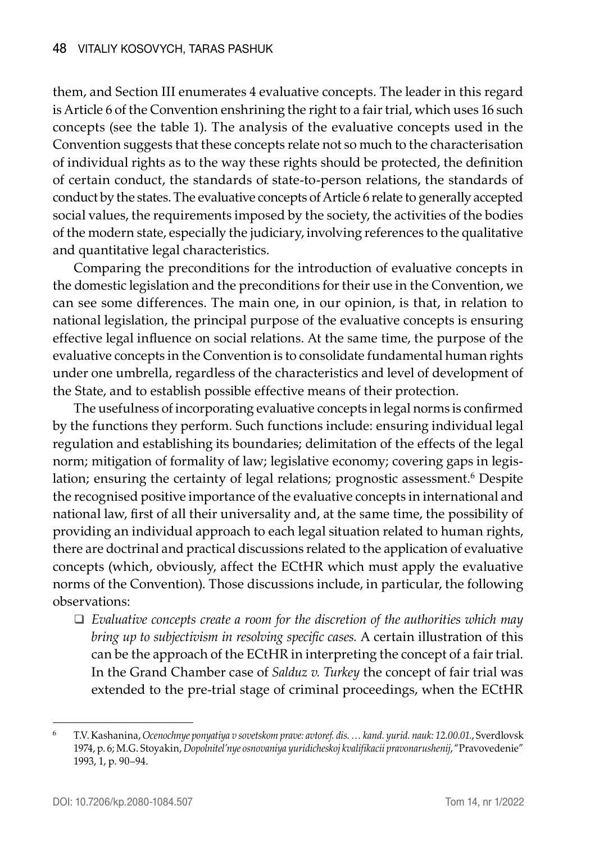them, and Section III enumerates 4 evaluative concepts. The leader in this regard is Article 6 of the Convention enshrining the right to a fair trial, which uses 16 such concepts (see the table 1). The analysis of the evaluative concepts used in the Convention suggests that these concepts relate not so much to the characterisation of individual rights as to the way these rights should be protected, the definition of certain conduct, the standards of state-to-person relations, the standards of conduct by the states. The evaluative concepts of Article 6 relate to generally accepted social values, the requirements imposed by the society, the activities of the bodies of the modern state, especially the judiciary, involving references to the qualitative and quantitative legal characteristics.

Comparing the preconditions for the introduction of evaluative concepts in the domestic legislation and the preconditions for their use in the Convention, we can see some differences. The main one, in our opinion, is that, in relation to national legislation, the principal purpose of the evaluative concepts is ensuring effective legal influence on social relations. At the same time, the purpose of the evaluative concepts in the Convention is to consolidate fundamental human rights under one umbrella, regardless of the characteristics and level of development of the State, and to establish possible effective means of their protection.

The usefulness of incorporating evaluative concepts in legal norms is confirmed by the functions they perform. Such functions include: ensuring individual legal regulation and establishing its boundaries; delimitation of the effects of the legal norm; mitigation of formality of law; legislative economy; covering gaps in legislation; ensuring the certainty of legal relations; prognostic assessment.<sup>6</sup> Despite the recognised positive importance of the evaluative concepts in international and national law, first of all their universality and, at the same time, the possibility of providing an individual approach to each legal situation related to human rights, there are doctrinal and practical discussions related to the application of evaluative concepts (which, obviously, affect the ECtHR which must apply the evaluative norms of the Convention). Those discussions include, in particular, the following observations:

 *Evaluative concepts create a room for the discretion of the authorities which may bring up to subjectivism in resolving specific cases.* A certain illustration of this can be the approach of the ECtHR in interpreting the concept of a fair trial. In the Grand Chamber case of *Salduz v. Turkey* the concept of fair trial was extended to the pre-trial stage of criminal proceedings, when the ECtHR

<sup>6</sup> T.V. Kashanina, *Ocenochnye ponyatiya v sovetskom prave: avtoref. dis. … kand. yurid. nauk: 12.00.01.*, Sverdlovsk 1974, p. 6; M.G. Stoyakin, *Dopolnitel'nye osnovaniya yuridicheskoj kvalifikacii pravonarushenij*, "Pravovedenie" 1993, 1, p. 90–94.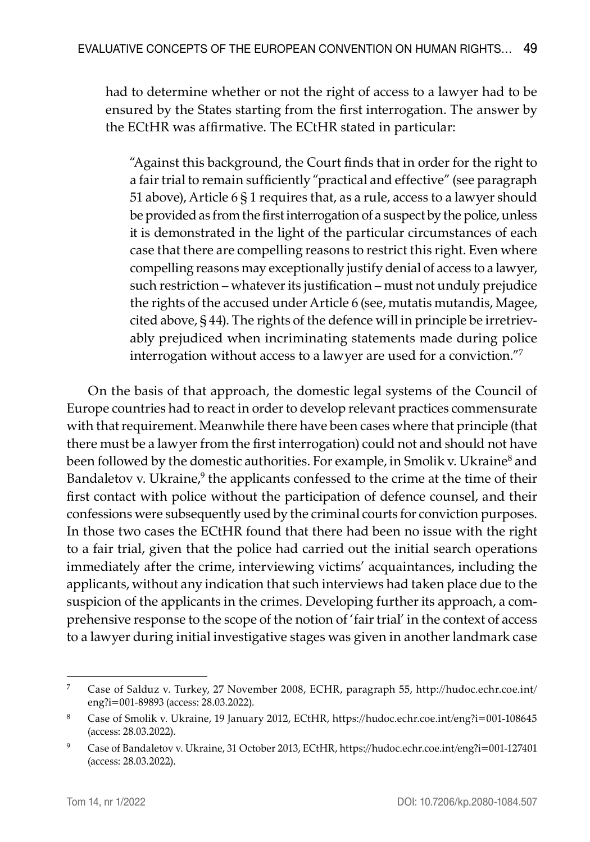had to determine whether or not the right of access to a lawyer had to be ensured by the States starting from the first interrogation. The answer by the ECtHR was affirmative. The ECtHR stated in particular:

"Against this background, the Court finds that in order for the right to a fair trial to remain sufficiently "practical and effective" (see paragraph 51 above), Article 6 § 1 requires that, as a rule, access to a lawyer should be provided as from the first interrogation of a suspect by the police, unless it is demonstrated in the light of the particular circumstances of each case that there are compelling reasons to restrict this right. Even where compelling reasons may exceptionally justify denial of access to a lawyer, such restriction – whatever its justification – must not unduly prejudice the rights of the accused under Article 6 (see, mutatis mutandis, Magee, cited above, § 44). The rights of the defence will in principle be irretrievably prejudiced when incriminating statements made during police interrogation without access to a lawyer are used for a conviction."7

On the basis of that approach, the domestic legal systems of the Council of Europe countries had to react in order to develop relevant practices commensurate with that requirement. Meanwhile there have been cases where that principle (that there must be a lawyer from the first interrogation) could not and should not have been followed by the domestic authorities. For example, in Smolik v. Ukraine<sup>8</sup> and Bandaletov v. Ukraine,<sup>9</sup> the applicants confessed to the crime at the time of their first contact with police without the participation of defence counsel, and their confessions were subsequently used by the criminal courts for conviction purposes. In those two cases the ECtHR found that there had been no issue with the right to a fair trial, given that the police had carried out the initial search operations immediately after the crime, interviewing victims' acquaintances, including the applicants, without any indication that such interviews had taken place due to the suspicion of the applicants in the crimes. Developing further its approach, a comprehensive response to the scope of the notion of 'fair trial' in the context of access to a lawyer during initial investigative stages was given in another landmark case

<sup>7</sup> Case of Salduz v. Turkey, 27 November 2008, ECHR, paragraph 55, http://hudoc.echr.coe.int/ eng?i=001-89893 (access: 28.03.2022).

<sup>8</sup> Case of Smolik v. Ukraine, 19 January 2012, ECtHR, https://hudoc.echr.coe.int/eng?i=001-108645 (access: 28.03.2022).

<sup>9</sup> Case of Bandaletov v. Ukraine, 31 October 2013, ECtHR, https://hudoc.echr.coe.int/eng?i=001-127401 (access: 28.03.2022).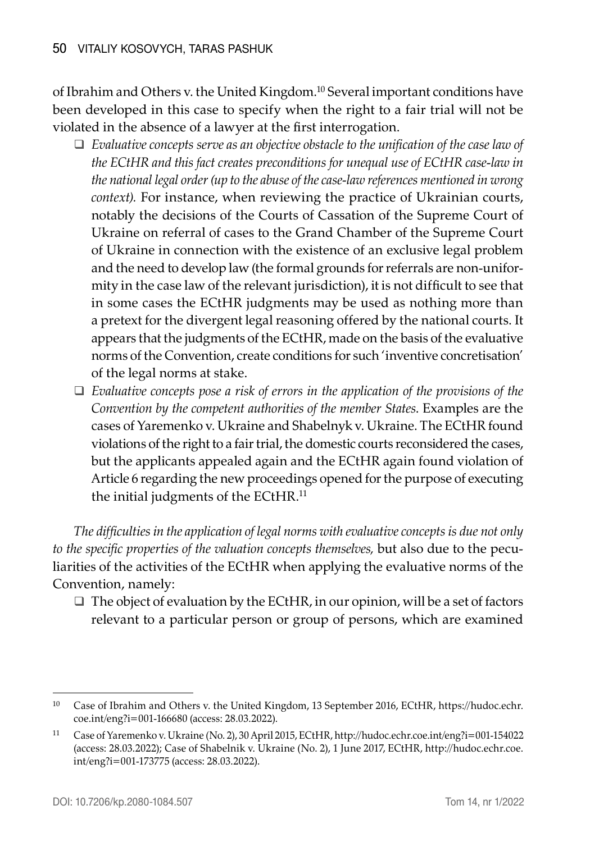of Ibrahim and Others v. the United Kingdom.10 Several important conditions have been developed in this case to specify when the right to a fair trial will not be violated in the absence of a lawyer at the first interrogation.

- *Evaluative concepts serve as an objective obstacle to the unification of the case law of the ECtHR and this fact creates preconditions for unequal use of ECtHR case-law in the national legal order (up to the abuse of the case-law references mentioned in wrong context).* For instance, when reviewing the practice of Ukrainian courts, notably the decisions of the Courts of Cassation of the Supreme Court of Ukraine on referral of cases to the Grand Chamber of the Supreme Court of Ukraine in connection with the existence of an exclusive legal problem and the need to develop law (the formal grounds for referrals are non-uniformity in the case law of the relevant jurisdiction), it is not difficult to see that in some cases the ECtHR judgments may be used as nothing more than a pretext for the divergent legal reasoning offered by the national courts. It appears that the judgments of the ECtHR, made on the basis of the evaluative norms of the Convention, create conditions for such 'inventive concretisation' of the legal norms at stake.
- *Evaluative concepts pose a risk of errors in the application of the provisions of the Convention by the competent authorities of the member States*. Examples are the cases of Yaremenko v. Ukraine and Shabelnyk v. Ukraine. The ECtHR found violations of the right to a fair trial, the domestic courts reconsidered the cases, but the applicants appealed again and the ECtHR again found violation of Article 6 regarding the new proceedings opened for the purpose of executing the initial judgments of the ECtHR.<sup>11</sup>

*The difficulties in the application of legal norms with evaluative concepts is due not only to the specific properties of the valuation concepts themselves,* but also due to the peculiarities of the activities of the ECtHR when applying the evaluative norms of the Convention, namely:

 $\Box$  The object of evaluation by the ECtHR, in our opinion, will be a set of factors relevant to a particular person or group of persons, which are examined

<sup>&</sup>lt;sup>10</sup> Case of Ibrahim and Others v. the United Kingdom, 13 September 2016, ECtHR, https://hudoc.echr. coe.int/eng?i=001-166680 (access: 28.03.2022).

<sup>11</sup> Case of Yaremenko v. Ukraine (No. 2), 30 April 2015, ECtHR, http://hudoc.echr.coe.int/eng?i=001-154022 (access: 28.03.2022); Case of Shabelnik v. Ukraine (No. 2), 1 June 2017, ECtHR, http://hudoc.echr.coe. int/eng?i=001-173775 (access: 28.03.2022).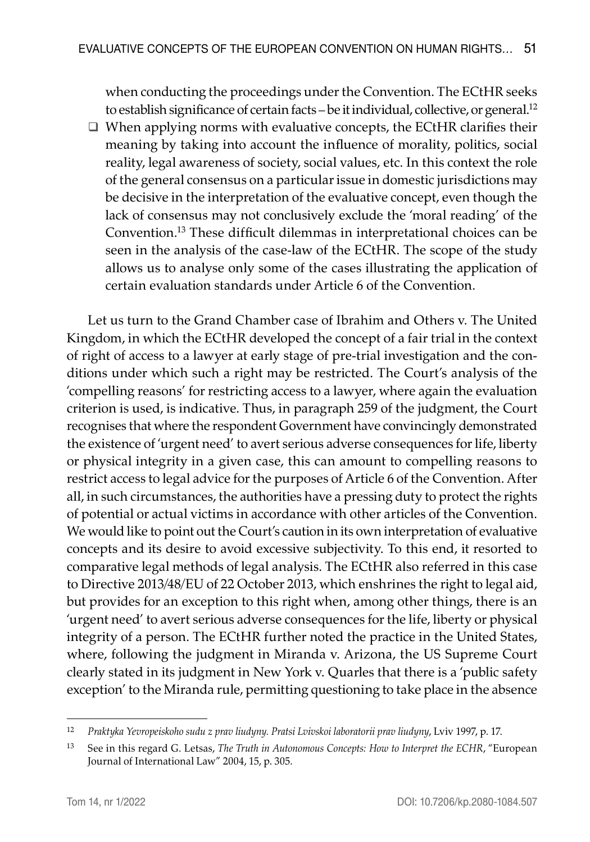when conducting the proceedings under the Convention. The ECtHR seeks to establish significance of certain facts – be it individual, collective, or general.<sup>12</sup>

 $\Box$  When applying norms with evaluative concepts, the ECtHR clarifies their meaning by taking into account the influence of morality, politics, social reality, legal awareness of society, social values, etc. In this context the role of the general consensus on a particular issue in domestic jurisdictions may be decisive in the interpretation of the evaluative concept, even though the lack of consensus may not conclusively exclude the 'moral reading' of the Convention.13 These difficult dilemmas in interpretational choices can be seen in the analysis of the case-law of the ECtHR. The scope of the study allows us to analyse only some of the cases illustrating the application of certain evaluation standards under Article 6 of the Convention.

Let us turn to the Grand Chamber case of Ibrahim and Others v. The United Kingdom, in which the ECtHR developed the concept of a fair trial in the context of right of access to a lawyer at early stage of pre-trial investigation and the conditions under which such a right may be restricted. The Court's analysis of the 'compelling reasons' for restricting access to a lawyer, where again the evaluation criterion is used, is indicative. Thus, in paragraph 259 of the judgment, the Court recognises that where the respondent Government have convincingly demonstrated the existence of 'urgent need' to avert serious adverse consequences for life, liberty or physical integrity in a given case, this can amount to compelling reasons to restrict access to legal advice for the purposes of Article 6 of the Convention. After all, in such circumstances, the authorities have a pressing duty to protect the rights of potential or actual victims in accordance with other articles of the Convention. We would like to point out the Court's caution in its own interpretation of evaluative concepts and its desire to avoid excessive subjectivity. To this end, it resorted to comparative legal methods of legal analysis. The ECtHR also referred in this case to Directive 2013/48/EU of 22 October 2013, which enshrines the right to legal aid, but provides for an exception to this right when, among other things, there is an 'urgent need' to avert serious adverse consequences for the life, liberty or physical integrity of a person. The ECtHR further noted the practice in the United States, where, following the judgment in Miranda v. Arizona, the US Supreme Court clearly stated in its judgment in New York v. Quarles that there is a 'public safety exception' to the Miranda rule, permitting questioning to take place in the absence

<sup>12</sup> *Praktyka Yevropeiskoho sudu z prav liudyny. Pratsi Lvivskoi laboratorii prav liudyny*, Lviv 1997, p. 17.

<sup>13</sup> See in this regard G. Letsas, *The Truth in Autonomous Concepts: How to Interpret the ECHR*, "European Journal of International Law" 2004, 15, p. 305.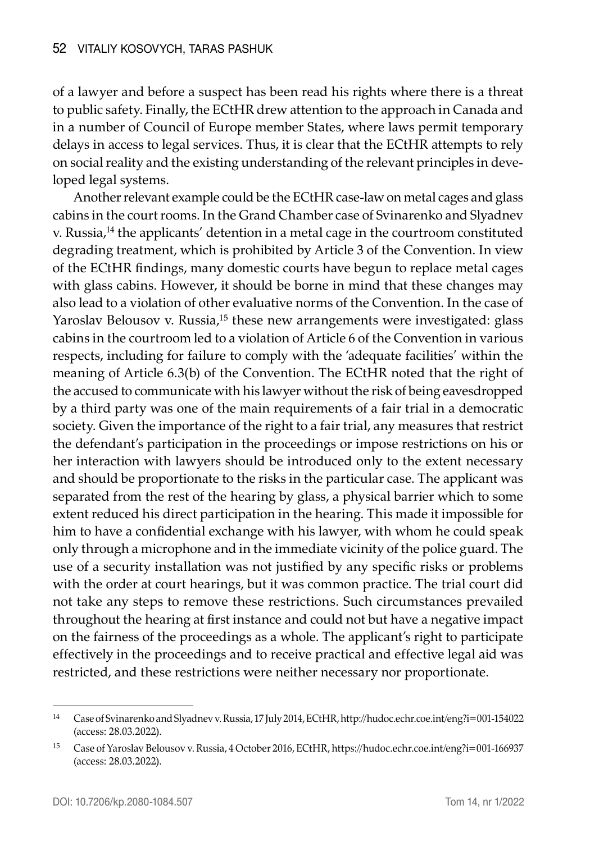of a lawyer and before a suspect has been read his rights where there is a threat to public safety. Finally, the ECtHR drew attention to the approach in Canada and in a number of Council of Europe member States, where laws permit temporary delays in access to legal services. Thus, it is clear that the ECtHR attempts to rely on social reality and the existing understanding of the relevant principles in developed legal systems.

Another relevant example could be the ECtHR case-law on metal cages and glass cabins in the court rooms. In the Grand Chamber case of Svinarenko and Slyadnev v. Russia,<sup>14</sup> the applicants' detention in a metal cage in the courtroom constituted degrading treatment, which is prohibited by Article 3 of the Convention. In view of the ECtHR findings, many domestic courts have begun to replace metal cages with glass cabins. However, it should be borne in mind that these changes may also lead to a violation of other evaluative norms of the Convention. In the case of Yaroslav Belousov v. Russia,<sup>15</sup> these new arrangements were investigated: glass cabins in the courtroom led to a violation of Article 6 of the Convention in various respects, including for failure to comply with the 'adequate facilities' within the meaning of Article 6.3(b) of the Convention. The ECtHR noted that the right of the accused to communicate with his lawyer without the risk of being eavesdropped by a third party was one of the main requirements of a fair trial in a democratic society. Given the importance of the right to a fair trial, any measures that restrict the defendant's participation in the proceedings or impose restrictions on his or her interaction with lawyers should be introduced only to the extent necessary and should be proportionate to the risks in the particular case. The applicant was separated from the rest of the hearing by glass, a physical barrier which to some extent reduced his direct participation in the hearing. This made it impossible for him to have a confidential exchange with his lawyer, with whom he could speak only through a microphone and in the immediate vicinity of the police guard. The use of a security installation was not justified by any specific risks or problems with the order at court hearings, but it was common practice. The trial court did not take any steps to remove these restrictions. Such circumstances prevailed throughout the hearing at first instance and could not but have a negative impact on the fairness of the proceedings as a whole. The applicant's right to participate effectively in the proceedings and to receive practical and effective legal aid was restricted, and these restrictions were neither necessary nor proportionate.

<sup>14</sup> Case of Svinarenko and Slyadnev v. Russia, 17 July 2014, ECtHR, http://hudoc.echr.coe.int/eng?i=001-154022 (access: 28.03.2022).

<sup>15</sup> Case of Yaroslav Belousov v. Russia, 4 October 2016, ECtHR, https://hudoc.echr.coe.int/eng?i=001-166937 (access: 28.03.2022).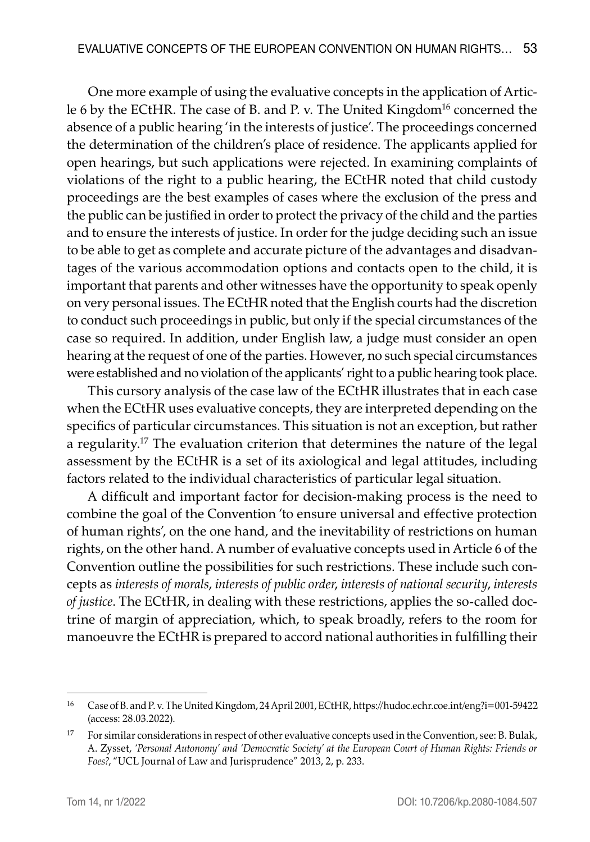One more example of using the evaluative concepts in the application of Article 6 by the ECtHR. The case of B. and P. v. The United Kingdom<sup>16</sup> concerned the absence of a public hearing 'in the interests of justice'. The proceedings concerned the determination of the children's place of residence. The applicants applied for open hearings, but such applications were rejected. In examining complaints of violations of the right to a public hearing, the ECtHR noted that child custody proceedings are the best examples of cases where the exclusion of the press and the public can be justified in order to protect the privacy of the child and the parties and to ensure the interests of justice. In order for the judge deciding such an issue to be able to get as complete and accurate picture of the advantages and disadvantages of the various accommodation options and contacts open to the child, it is important that parents and other witnesses have the opportunity to speak openly on very personal issues. The ECtHR noted that the English courts had the discretion to conduct such proceedings in public, but only if the special circumstances of the case so required. In addition, under English law, a judge must consider an open hearing at the request of one of the parties. However, no such special circumstances were established and no violation of the applicants' right to a public hearing took place.

This cursory analysis of the case law of the ECtHR illustrates that in each case when the ECtHR uses evaluative concepts, they are interpreted depending on the specifics of particular circumstances. This situation is not an exception, but rather a regularity.<sup>17</sup> The evaluation criterion that determines the nature of the legal assessment by the ECtHR is a set of its axiological and legal attitudes, including factors related to the individual characteristics of particular legal situation.

A difficult and important factor for decision-making process is the need to combine the goal of the Convention 'to ensure universal and effective protection of human rights', on the one hand, and the inevitability of restrictions on human rights, on the other hand. A number of evaluative concepts used in Article 6 of the Convention outline the possibilities for such restrictions. These include such concepts as *interests of morals*, *interests of public order*, *interests of national security*, *interests of justice*. The ECtHR, in dealing with these restrictions, applies the so-called doctrine of margin of appreciation, which, to speak broadly, refers to the room for manoeuvre the ECtHR is prepared to accord national authorities in fulfilling their

<sup>16</sup> Case of B. and P. v. The United Kingdom, 24 April 2001, ECtHR, https://hudoc.echr.coe.int/eng?i=001-59422 (access: 28.03.2022).

<sup>17</sup> For similar considerations in respect of other evaluative concepts used in the Convention, see: B. Bulak, A. Zysset, *'Personal Autonomy' and 'Democratic Society' at the European Court of Human Rights: Friends or Foes?*, "UCL Journal of Law and Jurisprudence" 2013, 2, p. 233.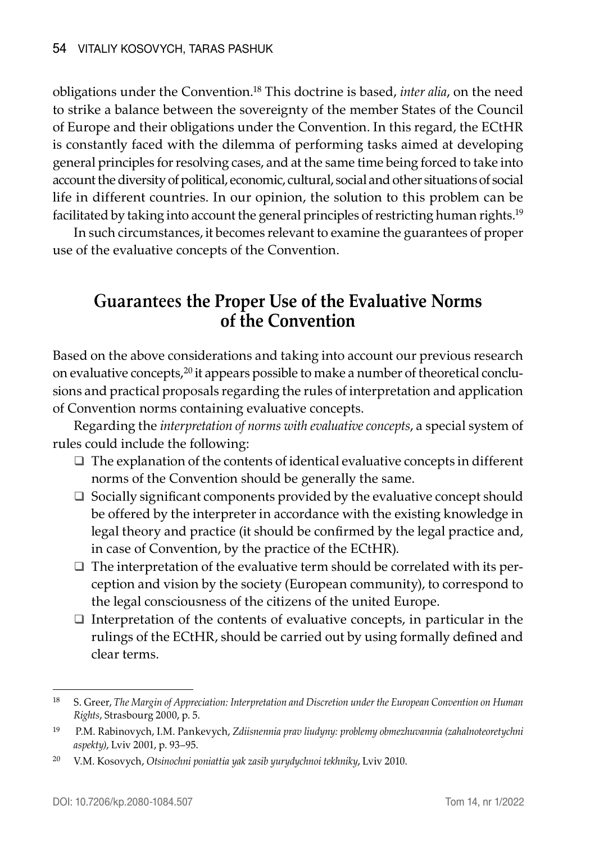obligations under the Convention.<sup>18</sup> This doctrine is based, *inter alia*, on the need to strike a balance between the sovereignty of the member States of the Council of Europe and their obligations under the Convention. In this regard, the ECtHR is constantly faced with the dilemma of performing tasks aimed at developing general principles for resolving cases, and at the same time being forced to take into account the diversity of political, economic, cultural, social and other situations of social life in different countries. In our opinion, the solution to this problem can be facilitated by taking into account the general principles of restricting human rights.19

In such circumstances, it becomes relevant to examine the guarantees of proper use of the evaluative concepts of the Convention.

# **Guarantees the Proper Use of the Evaluative Norms of the Convention**

Based on the above considerations and taking into account our previous research on evaluative concepts,20 it appears possible to make a number of theoretical conclusions and practical proposals regarding the rules of interpretation and application of Convention norms containing evaluative concepts.

Regarding the *interpretation of norms with evaluative concepts*, a special system of rules could include the following:

- $\Box$  The explanation of the contents of identical evaluative concepts in different norms of the Convention should be generally the same.
- $\Box$  Socially significant components provided by the evaluative concept should be offered by the interpreter in accordance with the existing knowledge in legal theory and practice (it should be confirmed by the legal practice and, in case of Convention, by the practice of the ECtHR).
- $\Box$  The interpretation of the evaluative term should be correlated with its perception and vision by the society (European community), to correspond to the legal consciousness of the citizens of the united Europe.
- $\Box$  Interpretation of the contents of evaluative concepts, in particular in the rulings of the ECtHR, should be carried out by using formally defined and clear terms.

<sup>18</sup> S. Greer, *The Margin of Appreciation: Interpretation and Discretion under the European Convention on Human Rights*, Strasbourg 2000, p. 5.

<sup>19</sup> P.M. Rabinovych, I.M. Pankevych, *Zdiisnennia prav liudyny: problemy obmezhuvannia (zahalnoteoretychni aspekty)*, Lviv 2001, p. 93–95.

<sup>20</sup> V.M. Kosovych, *Otsinochni poniattia yak zasib yurydychnoi tekhniky*, Lviv 2010.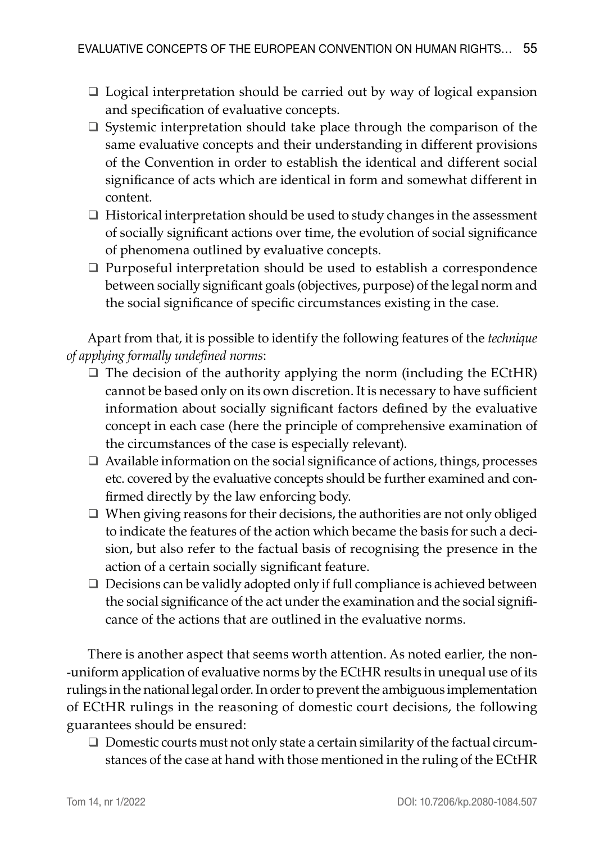- $\Box$  Logical interpretation should be carried out by way of logical expansion and specification of evaluative concepts.
- $\square$  Systemic interpretation should take place through the comparison of the same evaluative concepts and their understanding in different provisions of the Convention in order to establish the identical and different social significance of acts which are identical in form and somewhat different in content.
- $\Box$  Historical interpretation should be used to study changes in the assessment of socially significant actions over time, the evolution of social significance of phenomena outlined by evaluative concepts.
- $\Box$  Purposeful interpretation should be used to establish a correspondence between socially significant goals (objectives, purpose) of the legal norm and the social significance of specific circumstances existing in the case.

Apart from that, it is possible to identify the following features of the *technique of applying formally undefined norms*:

- $\Box$  The decision of the authority applying the norm (including the ECtHR) cannot be based only on its own discretion. It is necessary to have sufficient information about socially significant factors defined by the evaluative concept in each case (here the principle of comprehensive examination of the circumstances of the case is especially relevant).
- $\Box$  Available information on the social significance of actions, things, processes etc. covered by the evaluative concepts should be further examined and confirmed directly by the law enforcing body.
- $\Box$  When giving reasons for their decisions, the authorities are not only obliged to indicate the features of the action which became the basis for such a decision, but also refer to the factual basis of recognising the presence in the action of a certain socially significant feature.
- $\Box$  Decisions can be validly adopted only if full compliance is achieved between the social significance of the act under the examination and the social significance of the actions that are outlined in the evaluative norms.

There is another aspect that seems worth attention. As noted earlier, the non -uniform application of evaluative norms by the ECtHR results in unequal use of its rulings in the national legal order. In order to prevent the ambiguous implementation of ECtHR rulings in the reasoning of domestic court decisions, the following guarantees should be ensured:

 $\Box$  Domestic courts must not only state a certain similarity of the factual circumstances of the case at hand with those mentioned in the ruling of the ECtHR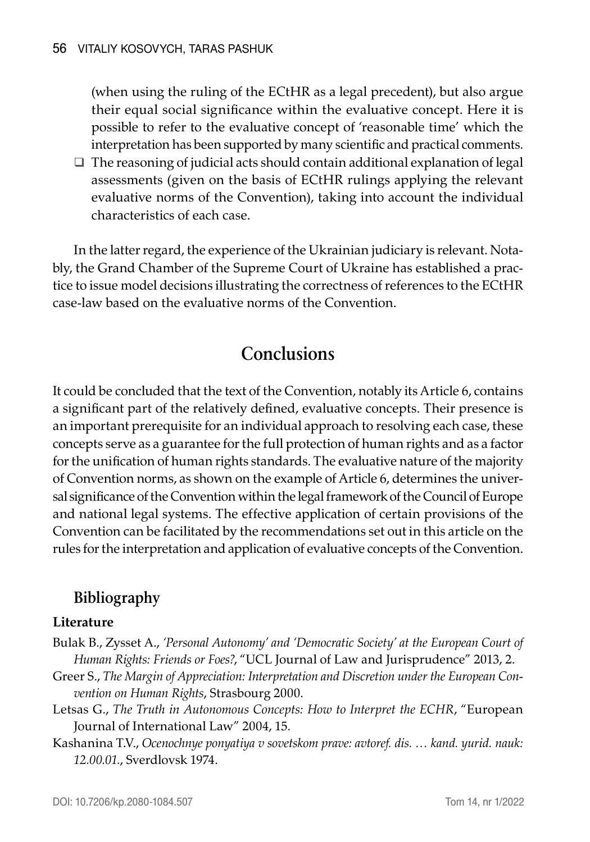(when using the ruling of the ECtHR as a legal precedent), but also argue their equal social significance within the evaluative concept. Here it is possible to refer to the evaluative concept of 'reasonable time' which the interpretation has been supported by many scientific and practical comments.

 $\Box$  The reasoning of judicial acts should contain additional explanation of legal assessments (given on the basis of ECtHR rulings applying the relevant evaluative norms of the Convention), taking into account the individual characteristics of each case.

In the latter regard, the experience of the Ukrainian judiciary is relevant. Notably, the Grand Chamber of the Supreme Court of Ukraine has established a practice to issue model decisions illustrating the correctness of references to the ECtHR case-law based on the evaluative norms of the Convention.

# **Conclusions**

It could be concluded that the text of the Convention, notably its Article 6, contains a significant part of the relatively defined, evaluative concepts. Their presence is an important prerequisite for an individual approach to resolving each case, these concepts serve as a guarantee for the full protection of human rights and as a factor for the unification of human rights standards. The evaluative nature of the majority of Convention norms, as shown on the example of Article 6, determines the universal significance of the Convention within the legal framework of the Council of Europe and national legal systems. The effective application of certain provisions of the Convention can be facilitated by the recommendations set out in this article on the rules for the interpretation and application of evaluative concepts of the Convention.

## **Bibliography**

#### **Literature**

- Bulak B., Zysset A., *'Personal Autonomy' and 'Democratic Society' at the European Court of Human Rights: Friends or Foes?*, "UCL Journal of Law and Jurisprudence" 2013, 2.
- Greer S., *The Margin of Appreciation: Interpretation and Discretion under the European Convention on Human Rights*, Strasbourg 2000.
- Letsas G., *The Truth in Autonomous Concepts: How to Interpret the ECHR*, "European Journal of International Law" 2004, 15.
- Kashanina T.V., *Ocenochnye ponyatiya v sovetskom prave: avtoref. dis. … kand. yurid. nauk: 12.00.01.*, Sverdlovsk 1974.